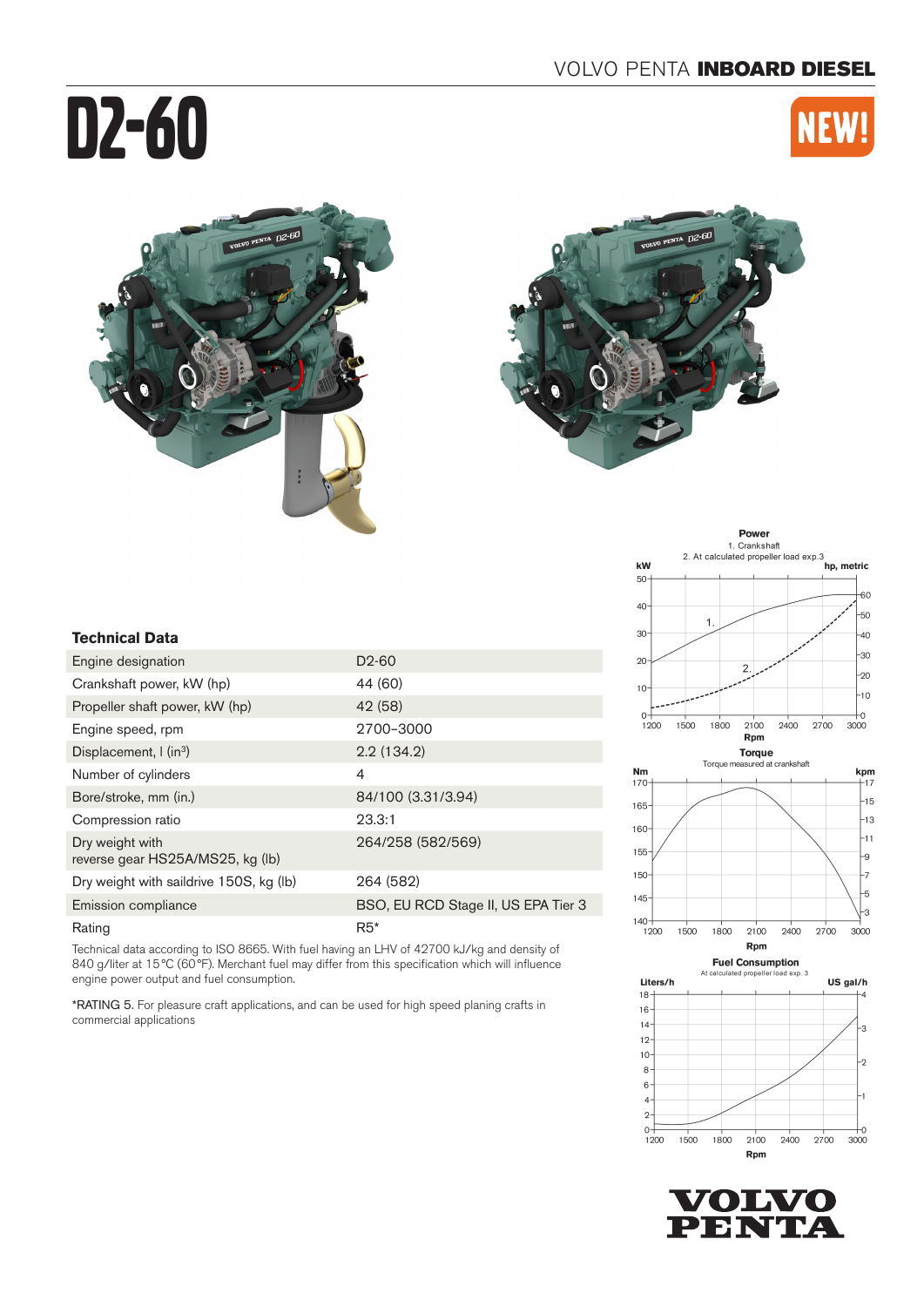# D2-60













**VOLVO PENTA** 

## **Technical Data**

| Engine designation                                  | D <sub>2</sub> -60                  |
|-----------------------------------------------------|-------------------------------------|
| Crankshaft power, kW (hp)                           | 44 (60)                             |
| Propeller shaft power, kW (hp)                      | 42 (58)                             |
| Engine speed, rpm                                   | 2700-3000                           |
| Displacement, $\int$ (in <sup>3</sup> )             | 2.2(134.2)                          |
| Number of cylinders                                 | 4                                   |
| Bore/stroke, mm (in.)                               | 84/100 (3.31/3.94)                  |
| Compression ratio                                   | 23.3:1                              |
| Dry weight with<br>reverse gear HS25A/MS25, kg (lb) | 264/258 (582/569)                   |
| Dry weight with saildrive 150S, kg (lb)             | 264 (582)                           |
| Emission compliance                                 | BSO, EU RCD Stage II, US EPA Tier 3 |
| Rating                                              | $R5*$                               |

Technical data according to ISO 8665. With fuel having an LHV of 42700 kJ/kg and density of 840 g/liter at 15°C (60°F). Merchant fuel may differ from this specification which will influence engine power output and fuel consumption.

\*RATING 5. For pleasure craft applications, and can be used for high speed planing crafts in commercial applications